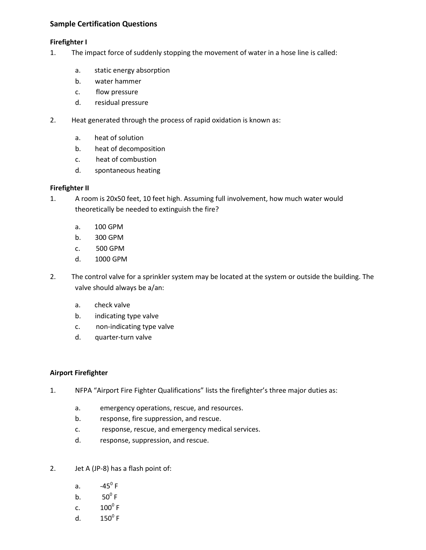# **Sample Certification Questions**

## **Firefighter I**

- 1. The impact force of suddenly stopping the movement of water in a hose line is called:
	- a. static energy absorption
	- b. water hammer
	- c. flow pressure
	- d. residual pressure
- 2. Heat generated through the process of rapid oxidation is known as:
	- a. heat of solution
	- b. heat of decomposition
	- c. heat of combustion
	- d. spontaneous heating

# **Firefighter II**

- 1. A room is 20x50 feet, 10 feet high. Assuming full involvement, how much water would theoretically be needed to extinguish the fire?
	- a. 100 GPM
	- b. 300 GPM
	- c. 500 GPM
	- d. 1000 GPM
- 2. The control valve for a sprinkler system may be located at the system or outside the building. The valve should always be a/an:
	- a. check valve
	- b. indicating type valve
	- c. non-indicating type valve
	- d. quarter-turn valve

## **Airport Firefighter**

- 1. NFPA "Airport Fire Fighter Qualifications" lists the firefighter's three major duties as:
	- a. emergency operations, rescue, and resources.
	- b. response, fire suppression, and rescue.
	- c. response, rescue, and emergency medical services.
	- d. response, suppression, and rescue.
- 2. Jet A (JP-8) has a flash point of:
	- a.  $-45^{\circ}$  F
	- b.  $50^0 \text{ F}$
	- c.  $100^0 \text{ F}$
	- d.  $150^0$  F